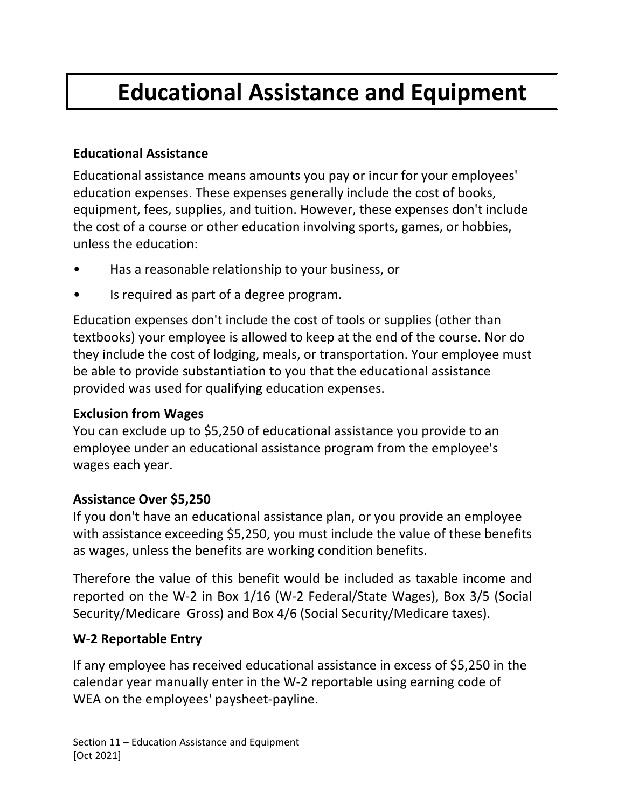# **Educational Assistance and Equipment**

### **Educational Assistance**

Educational assistance means amounts you pay or incur for your employees' education expenses. These expenses generally include the cost of books, equipment, fees, supplies, and tuition. However, these expenses don't include the cost of a course or other education involving sports, games, or hobbies, unless the education:

- Has a reasonable relationship to your business, or
- Is required as part of a degree program.

Education expenses don't include the cost of tools or supplies (other than textbooks) your employee is allowed to keep at the end of the course. Nor do they include the cost of lodging, meals, or transportation. Your employee must be able to provide substantiation to you that the educational assistance provided was used for qualifying education expenses.

### **Exclusion from Wages**

You can exclude up to \$5,250 of educational assistance you provide to an employee under an educational assistance program from the employee's wages each year.

### **Assistance Over \$5,250**

If you don't have an educational assistance plan, or you provide an employee with assistance exceeding \$5,250, you must include the value of these benefits as wages, unless the benefits are working condition benefits.

Therefore the value of this benefit would be included as taxable income and reported on the W-2 in Box 1/16 (W-2 Federal/State Wages), Box 3/5 (Social Security/Medicare Gross) and Box 4/6 (Social Security/Medicare taxes).

## **W-2 Reportable Entry**

If any employee has received educational assistance in excess of \$5,250 in the calendar year manually enter in the W-2 reportable using earning code of WEA on the employees' paysheet-payline.